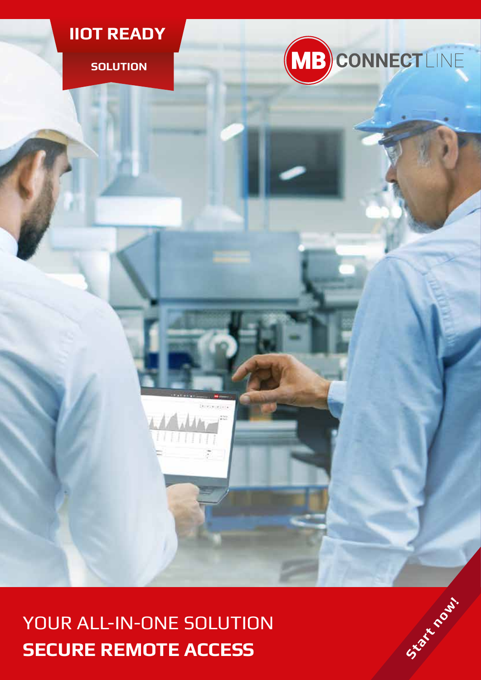

**SOLUTION**



YOUR ALL-IN-ONE SOLUTION **SECURE REMOTE ACCESS**<br>
SECURE REMOTE ACCESS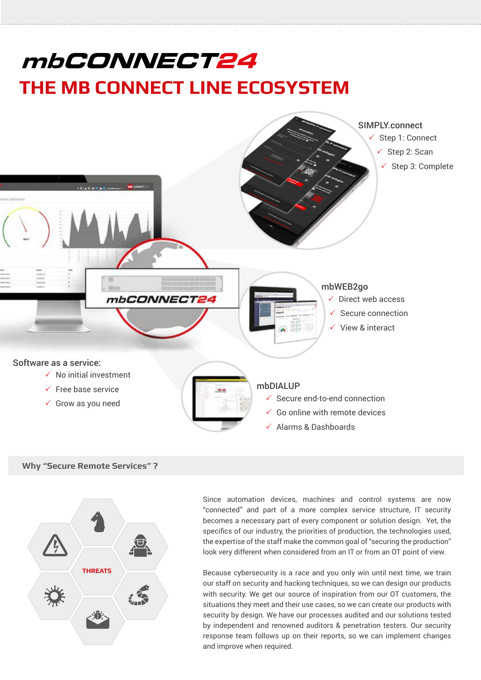# mbCONNECT24 **THE MB CONNECT LINE ECOSYSTEM**



**Why "Secure Remote Services" ?**



Since automation devices, machines and control systems are now "connected" and part of a more complex service structure, IT security becomes a necessary part of every component or solution design. Yet, the specifics of our industry, the priorities of production, the technologies used, the expertise of the staff make the common goal of "securing the production" look very different when considered from an IT or from an OT point of view.

Because cybersecurity is a race and you only win until next time, we train our staff on security and hacking techniques, so we can design our products with security. We get our source of inspiration from our OT customers, the situations they meet and their use cases, so we can create our products with security by design. We have our processes audited and our solutions tested by independent and renowned auditors & penetration testers. Our security response team follows up on their reports, so we can implement changes and improve when required.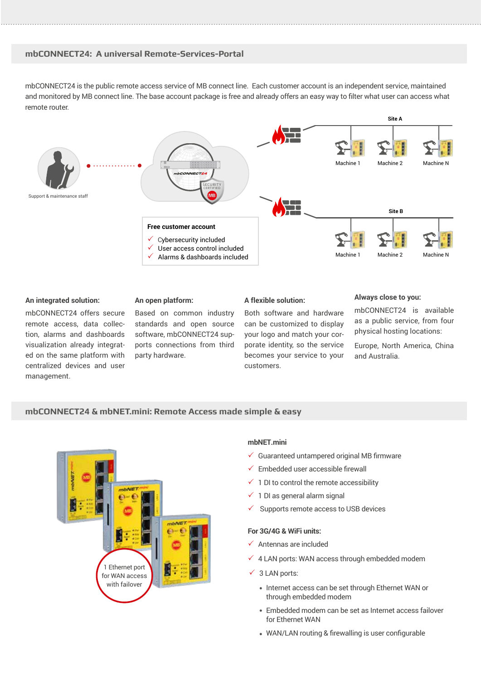# **mbCONNECT24: A universal Remote-Services-Portal**

mbCONNECT24 is the public remote access service of MB connect line. Each customer account is an independent service, maintained and monitored by MB connect line. The base account package is free and already offers an easy way to filter what user can access what remote router.



#### **An integrated solution:**

mbCONNECT24 offers secure remote access, data collection, alarms and dashboards visualization already integrated on the same platform with centralized devices and user management.

#### **An open platform:**

Based on common industry standards and open source software, mbCONNECT24 supports connections from third party hardware.

#### **A flexible solution:**

Both software and hardware can be customized to display your logo and match your corporate identity, so the service becomes your service to your customers.

# **Always close to you:**

mbCONNECT24 is available as a public service, from four physical hosting locations:

Europe, North America, China and Australia.

# **mbCONNECT24 & mbNET.mini: Remote Access made simple & easy**



#### **mbNET.mini**

- $\checkmark$  Guaranteed untampered original MB firmware
- $\checkmark$  Embedded user accessible firewall
- $\checkmark$  1 DI to control the remote accessibility
- $\checkmark$  1 DI as general alarm signal
- 3 Supports remote access to USB devices

#### **For 3G/4G & WiFi units:**

- $\checkmark$  Antennas are included
- $\checkmark$  4 LAN ports: WAN access through embedded modem
- $\checkmark$  3 LAN ports:
	- Internet access can be set through Ethernet WAN or through embedded modem
	- Embedded modem can be set as Internet access failover for Ethernet WAN
	- WAN/LAN routing & firewalling is user configurable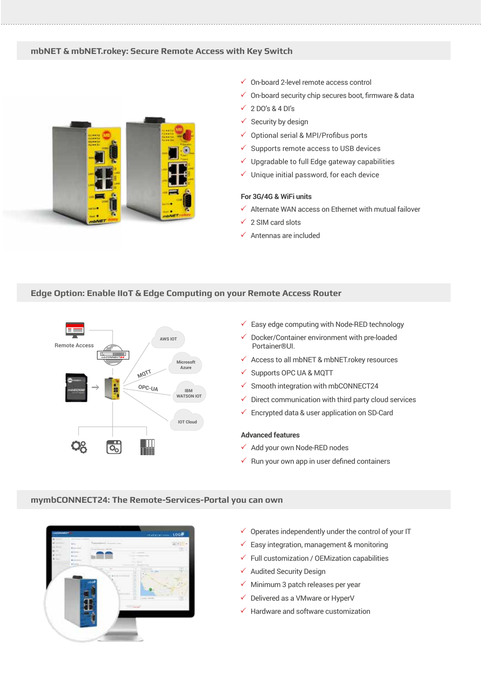# **mbNET & mbNET.rokey: Secure Remote Access with Key Switch**



- $\checkmark$  On-board 2-level remote access control
- $\checkmark$  On-board security chip secures boot, firmware & data
- $\checkmark$  2 DO's & 4 DI's
- $\checkmark$  Security by design
- Optional serial & MPI/Profibus ports
- 3 Supports remote access to USB devices
- Upgradable to full Edge gateway capabilities
- $\checkmark$  Unique initial password, for each device

# **For 3G/4G & WiFi units**

- $\checkmark$  Alternate WAN access on Ethernet with mutual failover
- $\checkmark$  2 SIM card slots
- $\checkmark$  Antennas are included

# **Edge Option: Enable IIoT & Edge Computing on your Remote Access Router**



- $\checkmark$  Easy edge computing with Node-RED technology
- 3 Docker/Container environment with pre-loaded Portainer®UI.
- $\checkmark$  Access to all mbNET & mbNET.rokey resources
- $\checkmark$  Supports OPC UA & MQTT
- $\checkmark$  Smooth integration with mbCONNECT24
- $\checkmark$  Direct communication with third party cloud services
- $\checkmark$  Encrypted data & user application on SD-Card

#### **Advanced features**

- $\checkmark$  Add your own Node-RED nodes
- $\checkmark$  Run your own app in user defined containers

# **mymbCONNECT24: The Remote-Services-Portal you can own**



- $\checkmark$  Operates independently under the control of your IT
- $\checkmark$  Easy integration, management & monitoring
- $\checkmark$  Full customization / OEMization capabilities
- $\checkmark$  Audited Security Design
- $\checkmark$  Minimum 3 patch releases per year
- Delivered as a VMware or HyperV
- $\checkmark$  Hardware and software customization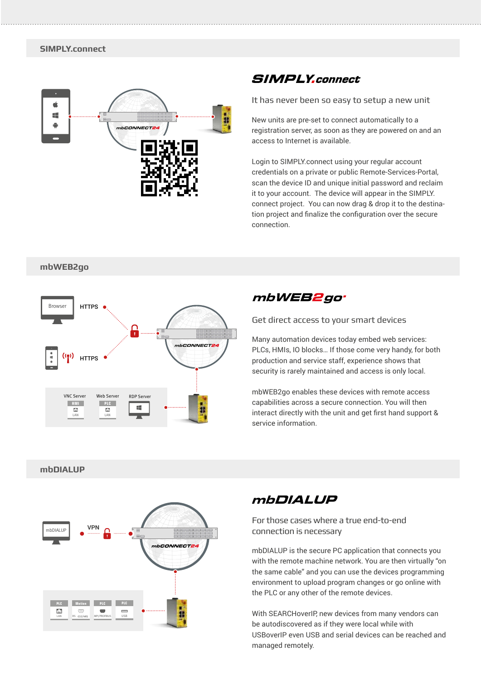

# **SIMPLY.connect**

It has never been so easy to setup a new unit

New units are pre-set to connect automatically to a registration server, as soon as they are powered on and an access to Internet is available.

Login to SIMPLY.connect using your regular account credentials on a private or public Remote-Services-Portal, scan the device ID and unique initial password and reclaim it to your account. The device will appear in the SIMPLY. connect project. You can now drag & drop it to the destination project and finalize the configuration over the secure connection.

## **mbWEB2go**



# mbWEB2go<sup>.</sup>

Get direct access to your smart devices

Many automation devices today embed web services: PLCs, HMIs, IO blocks… If those come very handy, for both production and service staff, experience shows that security is rarely maintained and access is only local.

mbWEB2go enables these devices with remote access capabilities across a secure connection. You will then interact directly with the unit and get first hand support & service information.

# **mbDIALUP**



# **mbDIALUP**

For those cases where a true end-to-end connection is necessary

mbDIALUP is the secure PC application that connects you with the remote machine network. You are then virtually "on the same cable" and you can use the devices programming environment to upload program changes or go online with the PLC or any other of the remote devices.

With SEARCHoverIP, new devices from many vendors can be autodiscovered as if they were local while with USBoverIP even USB and serial devices can be reached and managed remotely.